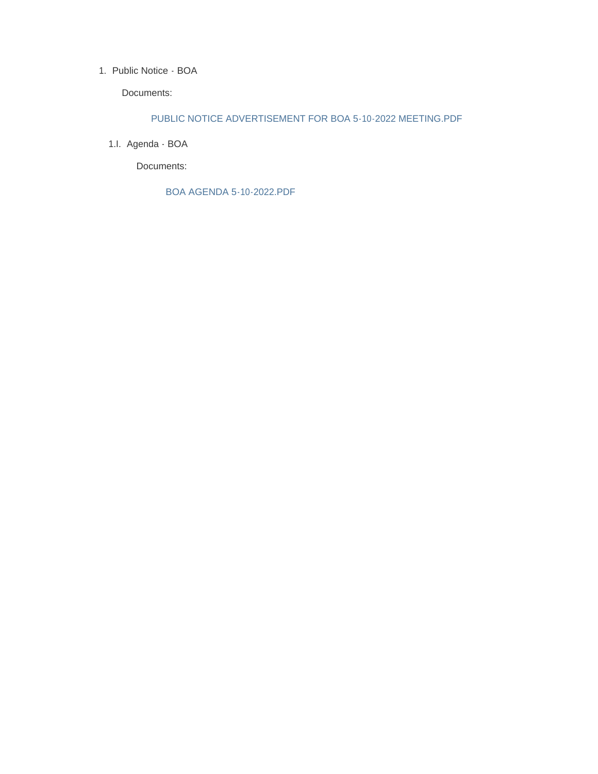#### 1. Public Notice - BOA

Documents:

### PUBLIC NOTICE ADVERTISEMENT FOR BOA 5-10-2022 MEETING.PDF

1.l. Agenda - BOA

Documents:

BOA AGENDA 5-10-2022.PDF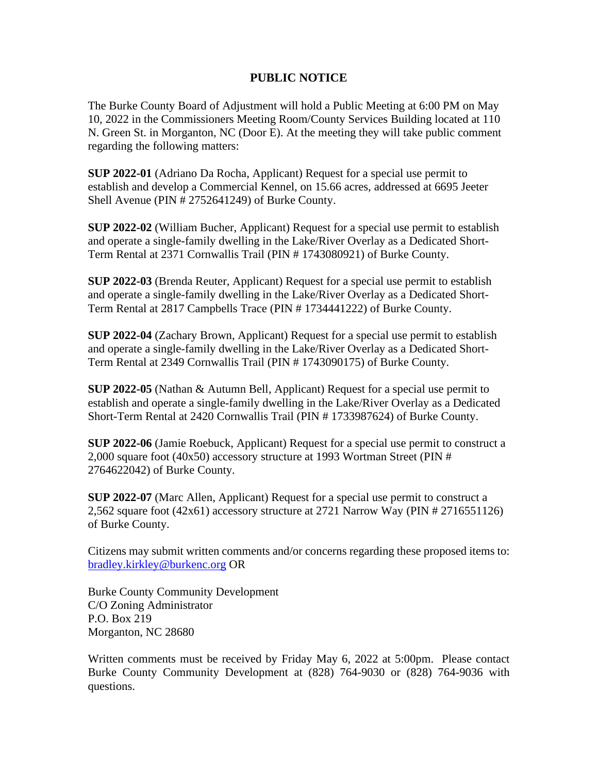# **PUBLIC NOTICE**

The Burke County Board of Adjustment will hold a Public Meeting at 6:00 PM on May 10, 2022 in the Commissioners Meeting Room/County Services Building located at 110 N. Green St. in Morganton, NC (Door E). At the meeting they will take public comment regarding the following matters:

**SUP 2022-01** (Adriano Da Rocha, Applicant) Request for a special use permit to establish and develop a Commercial Kennel, on 15.66 acres, addressed at 6695 Jeeter Shell Avenue (PIN # 2752641249) of Burke County.

**SUP 2022-02** (William Bucher, Applicant) Request for a special use permit to establish and operate a single-family dwelling in the Lake/River Overlay as a Dedicated Short-Term Rental at 2371 Cornwallis Trail (PIN # 1743080921) of Burke County.

**SUP 2022-03** (Brenda Reuter, Applicant) Request for a special use permit to establish and operate a single-family dwelling in the Lake/River Overlay as a Dedicated Short-Term Rental at 2817 Campbells Trace (PIN # 1734441222) of Burke County.

**SUP 2022-04** (Zachary Brown, Applicant) Request for a special use permit to establish and operate a single-family dwelling in the Lake/River Overlay as a Dedicated Short-Term Rental at 2349 Cornwallis Trail (PIN # 1743090175) of Burke County.

**SUP 2022-05** (Nathan & Autumn Bell, Applicant) Request for a special use permit to establish and operate a single-family dwelling in the Lake/River Overlay as a Dedicated Short-Term Rental at 2420 Cornwallis Trail (PIN # 1733987624) of Burke County.

**SUP 2022-06** (Jamie Roebuck, Applicant) Request for a special use permit to construct a 2,000 square foot (40x50) accessory structure at 1993 Wortman Street (PIN # 2764622042) of Burke County.

**SUP 2022-07** (Marc Allen, Applicant) Request for a special use permit to construct a 2,562 square foot (42x61) accessory structure at 2721 Narrow Way (PIN # 2716551126) of Burke County.

Citizens may submit written comments and/or concerns regarding these proposed items to: [bradley.kirkley@burkenc.org](mailto:bradley.kirkley@burkenc.org) OR

Burke County Community Development C/O Zoning Administrator P.O. Box 219 Morganton, NC 28680

Written comments must be received by Friday May 6, 2022 at 5:00pm. Please contact Burke County Community Development at (828) 764-9030 or (828) 764-9036 with questions.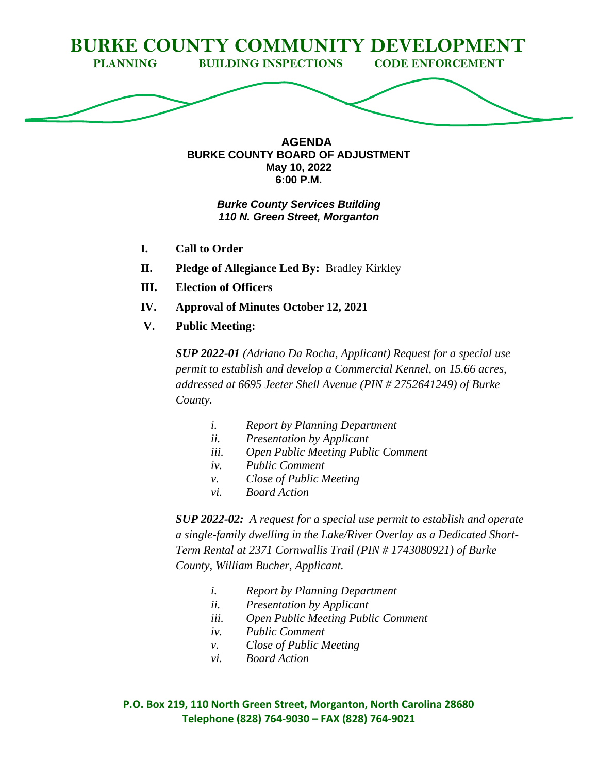

**AGENDA BURKE COUNTY BOARD OF ADJUSTMENT May 10, 2022 6:00 P.M.**

# *Burke County Services Building 110 N. Green Street, Morganton*

- **I. Call to Order**
- **II. Pledge of Allegiance Led By:** Bradley Kirkley
- **III. Election of Officers**
- **IV. Approval of Minutes October 12, 2021**
- **V. Public Meeting:**

*SUP 2022-01 (Adriano Da Rocha, Applicant) Request for a special use permit to establish and develop a Commercial Kennel, on 15.66 acres, addressed at 6695 Jeeter Shell Avenue (PIN # 2752641249) of Burke County.*

- *i. Report by Planning Department*
- *ii. Presentation by Applicant*
- *iii. Open Public Meeting Public Comment*
- *iv. Public Comment*
- *v. Close of Public Meeting*
- *vi. Board Action*

*SUP 2022-02: A request for a special use permit to establish and operate a single-family dwelling in the Lake/River Overlay as a Dedicated Short-Term Rental at 2371 Cornwallis Trail (PIN # 1743080921) of Burke County, William Bucher, Applicant.*

- *i. Report by Planning Department*
- *ii. Presentation by Applicant*
- *iii. Open Public Meeting Public Comment*
- *iv. Public Comment*
- *v. Close of Public Meeting*
- *vi. Board Action*

**P.O. Box 219, 110 North Green Street, Morganton, North Carolina 28680 Telephone (828) 764-9030 – FAX (828) 764-9021**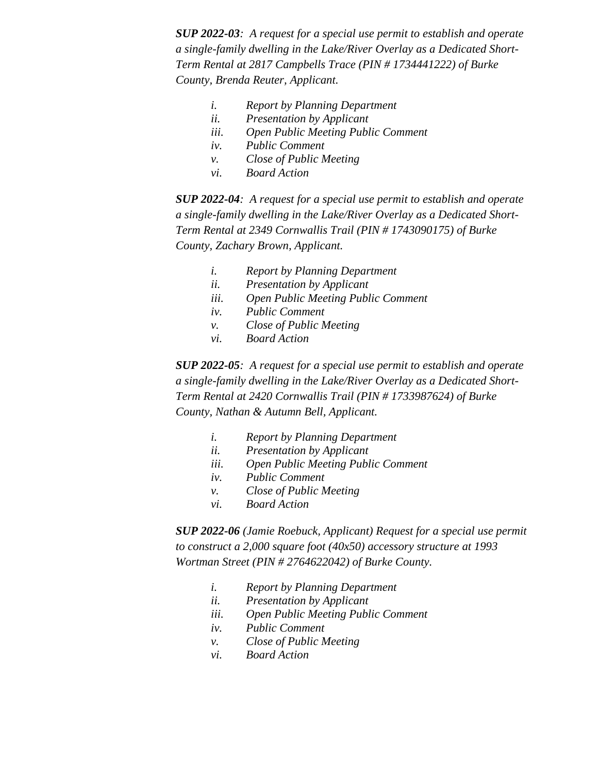*SUP 2022-03: A request for a special use permit to establish and operate a single-family dwelling in the Lake/River Overlay as a Dedicated Short-Term Rental at 2817 Campbells Trace (PIN # 1734441222) of Burke County, Brenda Reuter, Applicant.*

- *i. Report by Planning Department*
- *ii. Presentation by Applicant*
- *iii. Open Public Meeting Public Comment*
- *iv. Public Comment*
- *v. Close of Public Meeting*
- *vi. Board Action*

*SUP 2022-04: A request for a special use permit to establish and operate a single-family dwelling in the Lake/River Overlay as a Dedicated Short-Term Rental at 2349 Cornwallis Trail (PIN # 1743090175) of Burke County, Zachary Brown, Applicant.*

- *i. Report by Planning Department*
- *ii. Presentation by Applicant*
- *iii. Open Public Meeting Public Comment*
- *iv. Public Comment*
- *v. Close of Public Meeting*
- *vi. Board Action*

*SUP 2022-05: A request for a special use permit to establish and operate a single-family dwelling in the Lake/River Overlay as a Dedicated Short-Term Rental at 2420 Cornwallis Trail (PIN # 1733987624) of Burke County, Nathan & Autumn Bell, Applicant.*

- *i. Report by Planning Department*
- *ii. Presentation by Applicant*
- *iii. Open Public Meeting Public Comment*
- *iv. Public Comment*
- *v. Close of Public Meeting*
- *vi. Board Action*

*SUP 2022-06 (Jamie Roebuck, Applicant) Request for a special use permit to construct a 2,000 square foot (40x50) accessory structure at 1993 Wortman Street (PIN # 2764622042) of Burke County.*

- *i. Report by Planning Department*
- *ii. Presentation by Applicant*
- *iii. Open Public Meeting Public Comment*
- *iv. Public Comment*
- *v. Close of Public Meeting*
- *vi. Board Action*